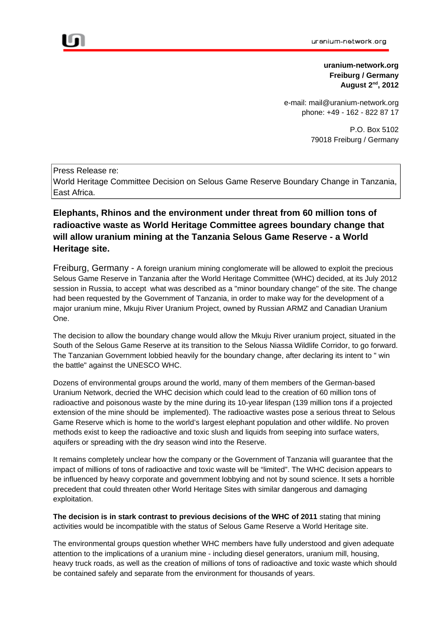**uranium-network.org Freiburg / Germany August 2nd , 2012**

e-mail: mail@uranium-network.org phone: +49 - 162 - 822 87 17

> P.O. Box 5102 79018 Freiburg / Germany

Press Release re: World Heritage Committee Decision on Selous Game Reserve Boundary Change in Tanzania, East Africa.

# **Elephants, Rhinos and the environment under threat from 60 million tons of radioactive waste as World Heritage Committee agrees boundary change that will allow uranium mining at the Tanzania Selous Game Reserve - a World Heritage site.**

Freiburg, Germany - A foreign uranium mining conglomerate will be allowed to exploit the precious Selous Game Reserve in Tanzania after the World Heritage Committee (WHC) decided, at its July 2012 session in Russia, to accept what was described as a "minor boundary change" of the site. The change had been requested by the Government of Tanzania, in order to make way for the development of a major uranium mine, Mkuju River Uranium Project, owned by Russian ARMZ and Canadian Uranium One.

The decision to allow the boundary change would allow the Mkuju River uranium project, situated in the South of the Selous Game Reserve at its transition to the Selous Niassa Wildlife Corridor, to go forward. The Tanzanian Government lobbied heavily for the boundary change, after declaring its intent to " win the battle" against the UNESCO WHC.

Dozens of environmental groups around the world, many of them members of the German-based Uranium Network, decried the WHC decision which could lead to the creation of 60 million tons of radioactive and poisonous waste by the mine during its 10-year lifespan (139 million tons if a projected extension of the mine should be implemented). The radioactive wastes pose a serious threat to Selous Game Reserve which is home to the world's largest elephant population and other wildlife. No proven methods exist to keep the radioactive and toxic slush and liquids from seeping into surface waters, aquifers or spreading with the dry season wind into the Reserve.

It remains completely unclear how the company or the Government of Tanzania will guarantee that the impact of millions of tons of radioactive and toxic waste will be "limited". The WHC decision appears to be influenced by heavy corporate and government lobbying and not by sound science. It sets a horrible precedent that could threaten other World Heritage Sites with similar dangerous and damaging exploitation.

**The decision is in stark contrast to previous decisions of the WHC of 2011** stating that mining activities would be incompatible with the status of Selous Game Reserve a World Heritage site.

The environmental groups question whether WHC members have fully understood and given adequate attention to the implications of a uranium mine - including diesel generators, uranium mill, housing, heavy truck roads, as well as the creation of millions of tons of radioactive and toxic waste which should be contained safely and separate from the environment for thousands of years.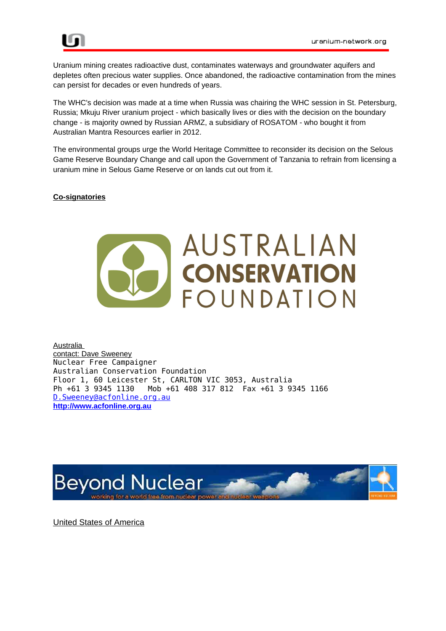

Uranium mining creates radioactive dust, contaminates waterways and groundwater aquifers and depletes often precious water supplies. Once abandoned, the radioactive contamination from the mines can persist for decades or even hundreds of years.

The WHC's decision was made at a time when Russia was chairing the WHC session in St. Petersburg, Russia; Mkuju River uranium project - which basically lives or dies with the decision on the boundary change - is majority owned by Russian ARMZ, a subsidiary of ROSATOM - who bought it from Australian Mantra Resources earlier in 2012.

The environmental groups urge the World Heritage Committee to reconsider its decision on the Selous Game Reserve Boundary Change and call upon the Government of Tanzania to refrain from licensing a uranium mine in Selous Game Reserve or on lands cut out from it.

### **Co-signatories**



Australia contact: Dave Sweeney Nuclear Free Campaigner Australian Conservation Foundation Floor 1, 60 Leicester St, CARLTON VIC 3053, Australia Ph +61 3 9345 1130 Mob +61 408 317 812 Fax +61 3 9345 1166 [D.Sweeney@acfonline.org.au](mailto:D.Sweeney@acfonline.org.au) **[http://www.acfonline.org.au](http://www.acfonline.org.au/)**



United States of America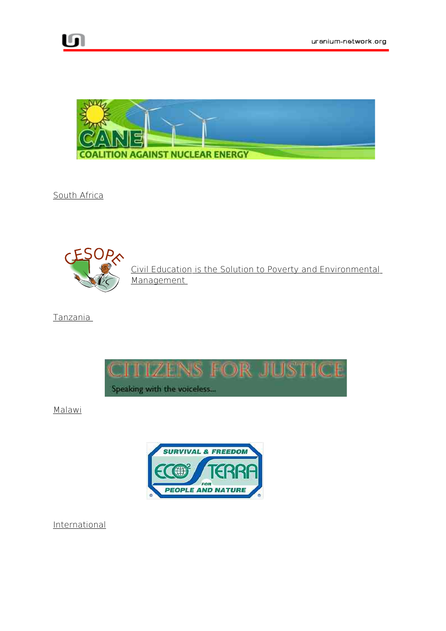

South Africa



 Civil Education is the Solution to Poverty and Environmental Management

Tanzania



Malawi



International

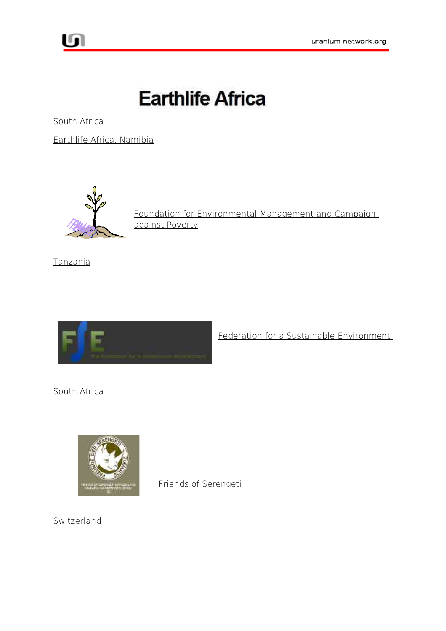

South Africa

Earthlife Africa, Namibia



 Foundation for Environmental Management and Campaign against Poverty

Tanzania



Federation for a Sustainable Environment

South Africa



Friends of Serengeti

Switzerland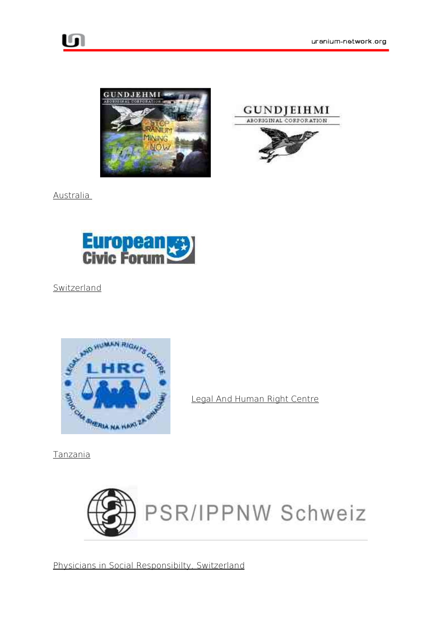





Australia



Switzerland



Legal And Human Right Centre

Tanzania



Physicians in Social Responsibilty, Switzerland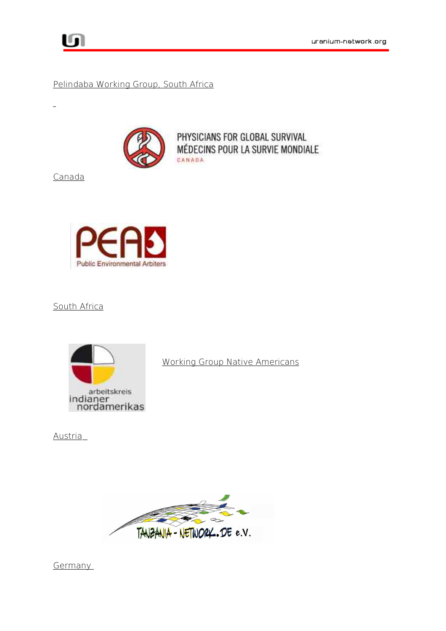## Pelindaba Working Group, South Africa



PHYSICIANS FOR GLOBAL SURVIVAL MÉDECINS POUR LA SURVIE MONDIALE CANADA

Canada

 $\mathbf{r}$ 



South Africa



Working Group Native Americans

Austria



**Germany**